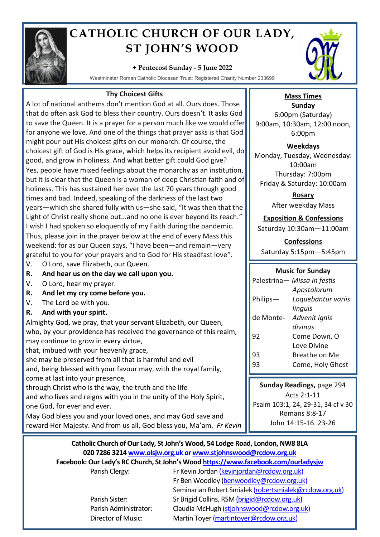

# **CATHOLIC CHURCH OF OUR LADY, ST JOHN'S WOOD**

#### **+ Pentecost Sunday - 5 June 2022**

Westminster Roman Catholic Diocesan Trust: Registered Charity Number 233699



A lot of national anthems don't mention God at all. Ours does. Those that do often ask God to bless their country. Ours doesn't. It asks God to save the Queen. It is a prayer for a person much like we would offer for anyone we love. And one of the things that prayer asks is that God might pour out His choicest gifts on our monarch. Of course, the choicest gift of God is His grace, which helps its recipient avoid evil, do good, and grow in holiness. And what better gift could God give? Yes, people have mixed feelings about the monarchy as an institution, but it is clear that the Queen is a woman of deep Christian faith and of holiness. This has sustained her over the last 70 years through good times and bad. Indeed, speaking of the darkness of the last two years—which she shared fully with us—she said, "It was then that the Light of Christ really shone out...and no one is ever beyond its reach." I wish I had spoken so eloquently of my Faith during the pandemic. Thus, please join in the prayer below at the end of every Mass this weekend: for as our Queen says, "I have been—and remain—very grateful to you for your prayers and to God for His steadfast love".

- V. O Lord, save Elizabeth, our Queen.
- **R. And hear us on the day we call upon you.**
- V. O Lord, hear my prayer.
- **R. And let my cry come before you.**
- V. The Lord be with you.
- **R. And with your spirit.**

Almighty God, we pray, that your servant Elizabeth, our Queen, who, by your providence has received the governance of this realm, may continue to grow in every virtue,

that, imbued with your heavenly grace,

she may be preserved from all that is harmful and evil and, being blessed with your favour may, with the royal family, come at last into your presence,

through Christ who is the way, the truth and the life and who lives and reigns with you in the unity of the Holy Spirit, one God, for ever and ever.

May God bless you and your loved ones, and may God save and reward Her Majesty. And from us all, God bless you, Ma'am. *Fr Kevin*



# **Mass Times**

**Sunday** 6:00pm (Saturday) 9:00am, 10:30am, 12:00 noon, 6:00pm

**Weekdays**

Monday, Tuesday, Wednesday: 10:00am Thursday: 7:00pm Friday & Saturday: 10:00am

> **Rosary** After weekday Mass

# **Exposition & Confessions**

Saturday 10:30am—11:00am

### **Confessions**

Saturday 5:15pm—5:45pm

#### **Music for Sunday**

| Palestrina- Missa In festis |                    |  |
|-----------------------------|--------------------|--|
|                             | Apostolorum        |  |
| Philips-                    | Loquebantur variis |  |
|                             | linguis            |  |
| de Monte-                   | Advenit ignis      |  |
|                             | divinus            |  |
| 92                          | Come Down, O       |  |
|                             | Love Divine        |  |
| 93                          | Breathe on Me      |  |
| qз                          | Come, Holy Ghost   |  |

**Sunday Readings,** page 294 Acts 2:1-11 Psalm 103:1, 24, 29-31, 34 cf v 30 Romans 8:8-17 John 14:15-16. 23-26

# **Catholic Church of Our Lady, St John's Wood, 54 Lodge Road, London, NW8 8LA 020 7286 3214 www.olsjw.org.uk or www.stjohnswood@rcdow.org.uk Facebook: Our Lady's RC Church, St John's Wood https://www.facebook.com/ourladysjw**

Parish Clergy: Fr Kevin Jordan (kevinjordan@rcdow.org.uk) Fr Ben Woodley (benwoodley@rcdow.org.uk) Seminarian Robert Smialek (robertsmialek@rcdow.org.uk) Parish Sister: Sr Brigid Collins, RSM (brigid@rcdow.org.uk) Parish Administrator: Claudia McHugh (stjohnswood@rcdow.org.uk) Director of Music: Martin Toyer (martintoyer@rcdow.org.uk)